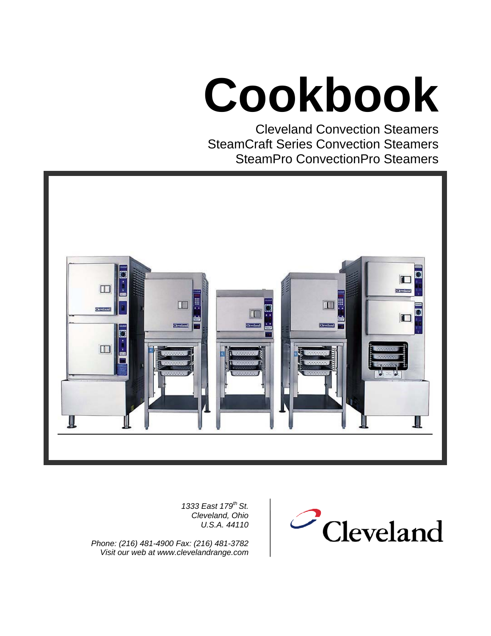# **Cookbook**

Cleveland Convection Steamers SteamCraft Series Convection Steamers SteamPro ConvectionPro Steamers



*1333 East 179th St. Cleveland, Ohio U.S.A. 44110*

*Phone: (216) 481-4900 Fax: (216) 481-3782 Visit our web at www.clevelandrange.com*

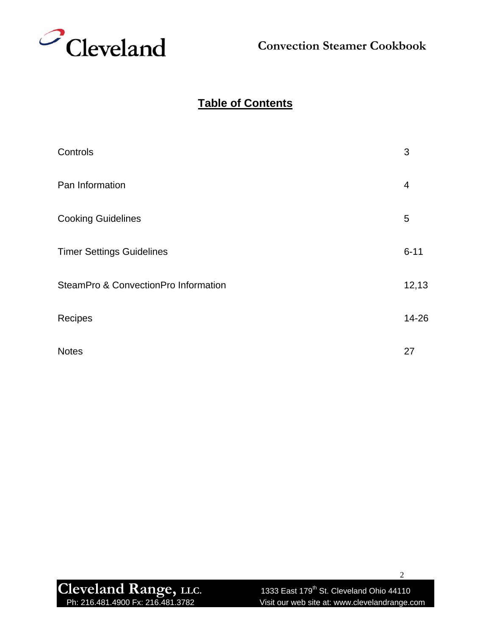

# **Table of Contents**

| Controls                             | 3        |
|--------------------------------------|----------|
| Pan Information                      | 4        |
| <b>Cooking Guidelines</b>            | 5        |
| <b>Timer Settings Guidelines</b>     | $6 - 11$ |
| SteamPro & ConvectionPro Information | 12,13    |
| Recipes                              | 14-26    |
| <b>Notes</b>                         | 27       |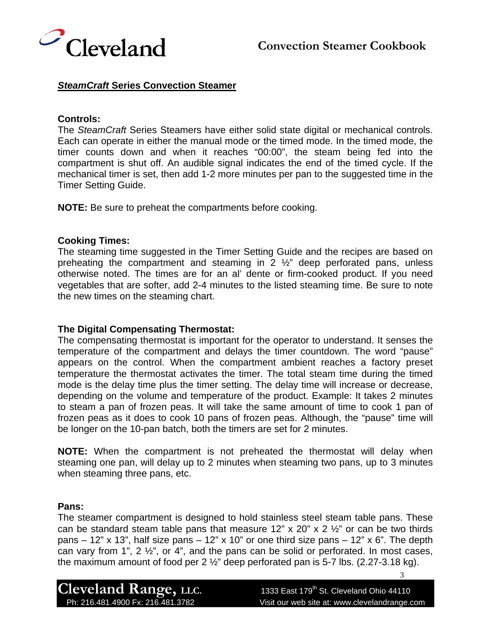



#### *SteamCraft* **Series Convection Steamer**

#### **Controls:**

The *SteamCraft* Series Steamers have either solid state digital or mechanical controls. Each can operate in either the manual mode or the timed mode. In the timed mode, the timer counts down and when it reaches "00:00", the steam being fed into the compartment is shut off. An audible signal indicates the end of the timed cycle. If the mechanical timer is set, then add 1-2 more minutes per pan to the suggested time in the Timer Setting Guide.

**NOTE:** Be sure to preheat the compartments before cooking.

#### **Cooking Times:**

The steaming time suggested in the Timer Setting Guide and the recipes are based on preheating the compartment and steaming in 2 ½" deep perforated pans, unless otherwise noted. The times are for an al' dente or firm-cooked product. If you need vegetables that are softer, add 2-4 minutes to the listed steaming time. Be sure to note the new times on the steaming chart.

#### **The Digital Compensating Thermostat:**

The compensating thermostat is important for the operator to understand. It senses the temperature of the compartment and delays the timer countdown. The word "pause" appears on the control. When the compartment ambient reaches a factory preset temperature the thermostat activates the timer. The total steam time during the timed mode is the delay time plus the timer setting. The delay time will increase or decrease, depending on the volume and temperature of the product. Example: It takes 2 minutes to steam a pan of frozen peas. It will take the same amount of time to cook 1 pan of frozen peas as it does to cook 10 pans of frozen peas. Although, the "pause" time will be longer on the 10-pan batch, both the timers are set for 2 minutes.

**NOTE:** When the compartment is not preheated the thermostat will delay when steaming one pan, will delay up to 2 minutes when steaming two pans, up to 3 minutes when steaming three pans, etc.

#### **Pans:**

The steamer compartment is designed to hold stainless steel steam table pans. These can be standard steam table pans that measure 12" x 20" x 2  $\frac{1}{2}$ " or can be two thirds pans – 12" x 13", half size pans – 12" x 10" or one third size pans – 12" x 6". The depth can vary from 1", 2 ½", or 4", and the pans can be solid or perforated. In most cases, the maximum amount of food per 2 ½" deep perforated pan is 5-7 lbs. (2.27-3.18 kg).

Cleveland Range, LLC. 1333 East 179<sup>th</sup> St. Cleveland Ohio 44110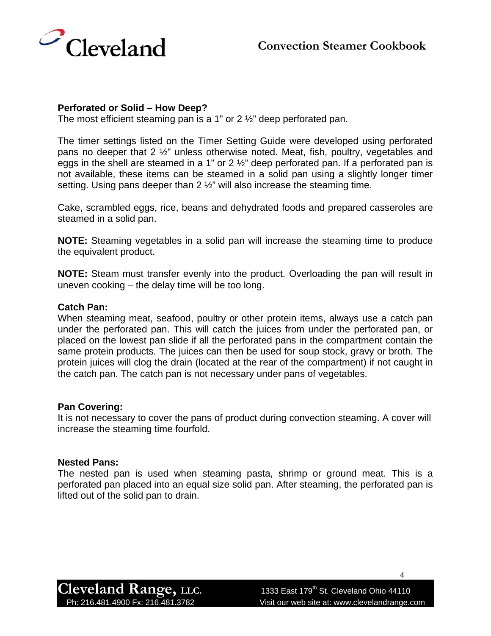

#### **Perforated or Solid – How Deep?**

The most efficient steaming pan is a 1" or  $2\frac{1}{2}$ " deep perforated pan.

The timer settings listed on the Timer Setting Guide were developed using perforated pans no deeper that 2 ½" unless otherwise noted. Meat, fish, poultry, vegetables and eggs in the shell are steamed in a 1" or  $2\frac{1}{2}$ " deep perforated pan. If a perforated pan is not available, these items can be steamed in a solid pan using a slightly longer timer setting. Using pans deeper than 2 ½" will also increase the steaming time.

Cake, scrambled eggs, rice, beans and dehydrated foods and prepared casseroles are steamed in a solid pan.

**NOTE:** Steaming vegetables in a solid pan will increase the steaming time to produce the equivalent product.

**NOTE:** Steam must transfer evenly into the product. Overloading the pan will result in uneven cooking – the delay time will be too long.

#### **Catch Pan:**

When steaming meat, seafood, poultry or other protein items, always use a catch pan under the perforated pan. This will catch the juices from under the perforated pan, or placed on the lowest pan slide if all the perforated pans in the compartment contain the same protein products. The juices can then be used for soup stock, gravy or broth. The protein juices will clog the drain (located at the rear of the compartment) if not caught in the catch pan. The catch pan is not necessary under pans of vegetables.

#### **Pan Covering:**

It is not necessary to cover the pans of product during convection steaming. A cover will increase the steaming time fourfold.

#### **Nested Pans:**

The nested pan is used when steaming pasta, shrimp or ground meat. This is a perforated pan placed into an equal size solid pan. After steaming, the perforated pan is lifted out of the solid pan to drain.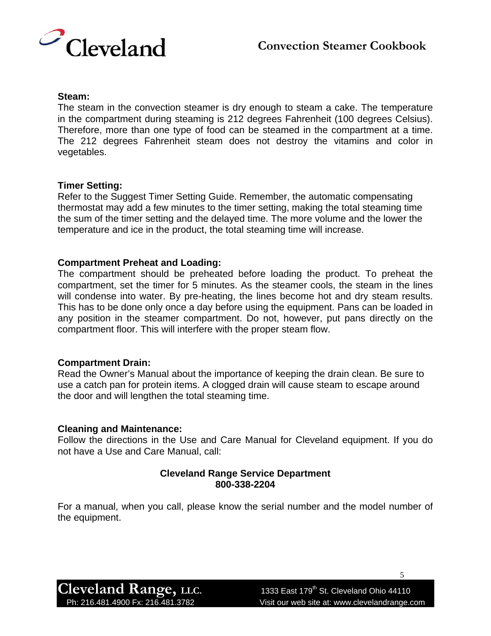

#### **Steam:**

The steam in the convection steamer is dry enough to steam a cake. The temperature in the compartment during steaming is 212 degrees Fahrenheit (100 degrees Celsius). Therefore, more than one type of food can be steamed in the compartment at a time. The 212 degrees Fahrenheit steam does not destroy the vitamins and color in vegetables.

#### **Timer Setting:**

Refer to the Suggest Timer Setting Guide. Remember, the automatic compensating thermostat may add a few minutes to the timer setting, making the total steaming time the sum of the timer setting and the delayed time. The more volume and the lower the temperature and ice in the product, the total steaming time will increase.

#### **Compartment Preheat and Loading:**

The compartment should be preheated before loading the product. To preheat the compartment, set the timer for 5 minutes. As the steamer cools, the steam in the lines will condense into water. By pre-heating, the lines become hot and dry steam results. This has to be done only once a day before using the equipment. Pans can be loaded in any position in the steamer compartment. Do not, however, put pans directly on the compartment floor. This will interfere with the proper steam flow.

#### **Compartment Drain:**

Read the Owner's Manual about the importance of keeping the drain clean. Be sure to use a catch pan for protein items. A clogged drain will cause steam to escape around the door and will lengthen the total steaming time.

#### **Cleaning and Maintenance:**

Follow the directions in the Use and Care Manual for Cleveland equipment. If you do not have a Use and Care Manual, call:

#### **Cleveland Range Service Department 800-338-2204**

For a manual, when you call, please know the serial number and the model number of the equipment.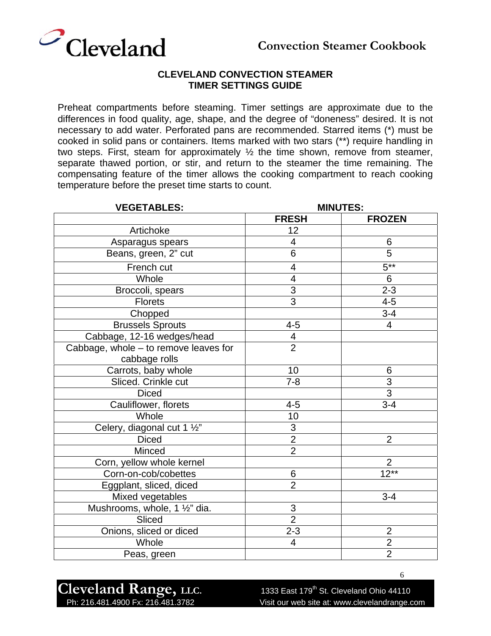

Preheat compartments before steaming. Timer settings are approximate due to the differences in food quality, age, shape, and the degree of "doneness" desired. It is not necessary to add water. Perforated pans are recommended. Starred items (\*) must be cooked in solid pans or containers. Items marked with two stars (\*\*) require handling in two steps. First, steam for approximately ½ the time shown, remove from steamer, separate thawed portion, or stir, and return to the steamer the time remaining. The compensating feature of the timer allows the cooking compartment to reach cooking temperature before the preset time starts to count.

| <b>VEGETABLES:</b>                    | <b>MINUTES:</b>          |                |
|---------------------------------------|--------------------------|----------------|
|                                       | <b>FRESH</b>             | <b>FROZEN</b>  |
| Artichoke                             | 12                       |                |
| Asparagus spears                      | $\overline{\mathcal{A}}$ | 6              |
| Beans, green, 2" cut                  | 6                        | 5              |
| French cut                            | 4                        | $5***$         |
| Whole                                 | $\overline{\mathbf{4}}$  | 6              |
| Broccoli, spears                      | $\overline{3}$           | $2 - 3$        |
| <b>Florets</b>                        | $\overline{3}$           | $4 - 5$        |
| Chopped                               |                          | $3 - 4$        |
| <b>Brussels Sprouts</b>               | $4 - 5$                  | $\overline{4}$ |
| Cabbage, 12-16 wedges/head            | 4                        |                |
| Cabbage, whole - to remove leaves for | $\overline{2}$           |                |
| cabbage rolls                         |                          |                |
| Carrots, baby whole                   | 10                       | 6              |
| Sliced. Crinkle cut                   | $7 - 8$                  | $\overline{3}$ |
| <b>Diced</b>                          |                          | $\overline{3}$ |
| Cauliflower, florets                  | $4 - 5$                  | $3 - 4$        |
| Whole                                 | 10                       |                |
| Celery, diagonal cut 1 1/2"           | $\frac{3}{2}$            |                |
| <b>Diced</b>                          |                          | $\overline{2}$ |
| Minced                                | $\overline{2}$           |                |
| Corn, yellow whole kernel             |                          | $\overline{2}$ |
| Corn-on-cob/cobettes                  | 6                        | $12***$        |
| Eggplant, sliced, diced               | $\overline{2}$           |                |
| Mixed vegetables                      |                          | $3 - 4$        |
| Mushrooms, whole, 1 1/2" dia.         | $\mathsf 3$              |                |
| Sliced                                | $\overline{2}$           |                |
| Onions, sliced or diced               | $2 - 3$                  | $\overline{2}$ |
| Whole                                 | 4                        | $\overline{2}$ |
| Peas, green                           |                          | $\overline{2}$ |

Cleveland Range, LLC. 1333 East 179<sup>th</sup> St. Cleveland Ohio 44110

Ph: 216.481.4900 Fx: 216.481.3782 Visit our web site at: www.clevelandrange.com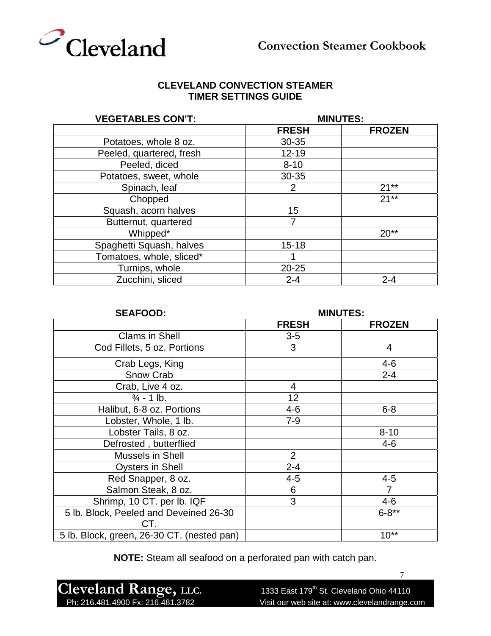

| <b>VEGETABLES CON'T:</b> |              | <b>MINUTES:</b> |
|--------------------------|--------------|-----------------|
|                          | <b>FRESH</b> | <b>FROZEN</b>   |
| Potatoes, whole 8 oz.    | 30-35        |                 |
| Peeled, quartered, fresh | $12 - 19$    |                 |
| Peeled, diced            | $8 - 10$     |                 |
| Potatoes, sweet, whole   | 30-35        |                 |
| Spinach, leaf            | 2            | $21**$          |
| Chopped                  |              | $21**$          |
| Squash, acorn halves     | 15           |                 |
| Butternut, quartered     | 7            |                 |
| Whipped*                 |              | $20**$          |
| Spaghetti Squash, halves | $15 - 18$    |                 |
| Tomatoes, whole, sliced* |              |                 |
| Turnips, whole           | $20 - 25$    |                 |
| Zucchini, sliced         | $2 - 4$      | $2 - 4$         |

| <b>SEAFOOD:</b>                            |                | <b>MINUTES:</b> |
|--------------------------------------------|----------------|-----------------|
|                                            | <b>FRESH</b>   | <b>FROZEN</b>   |
| <b>Clams in Shell</b>                      | $3-5$          |                 |
| Cod Fillets, 5 oz. Portions                | 3              | 4               |
| Crab Legs, King                            |                | $4 - 6$         |
| Snow Crab                                  |                | $2 - 4$         |
| Crab, Live 4 oz.                           | $\overline{4}$ |                 |
| $\frac{3}{4}$ - 1 lb.                      | 12             |                 |
| Halibut, 6-8 oz. Portions                  | $4 - 6$        | $6 - 8$         |
| Lobster, Whole, 1 lb.                      | $7 - 9$        |                 |
| Lobster Tails, 8 oz.                       |                | $8 - 10$        |
| Defrosted, butterflied                     |                | $4 - 6$         |
| Mussels in Shell                           | $\overline{2}$ |                 |
| <b>Oysters in Shell</b>                    | $2 - 4$        |                 |
| Red Snapper, 8 oz.                         | $4 - 5$        | $4 - 5$         |
| Salmon Steak, 8 oz.                        | 6              | $\overline{7}$  |
| Shrimp, 10 CT. per lb. IQF                 | 3              | $4 - 6$         |
| 5 lb. Block, Peeled and Deveined 26-30     |                | $6 - 8**$       |
| CT.                                        |                |                 |
| 5 lb. Block, green, 26-30 CT. (nested pan) |                | $10**$          |

**NOTE:** Steam all seafood on a perforated pan with catch pan.

Cleveland Range, LLC.<br>
Ph: 216.481.4900 Fx: 216.481.3782 Visit our web site at: www.clevelandrange.c

Visit our web site at: www.clevelandrange.com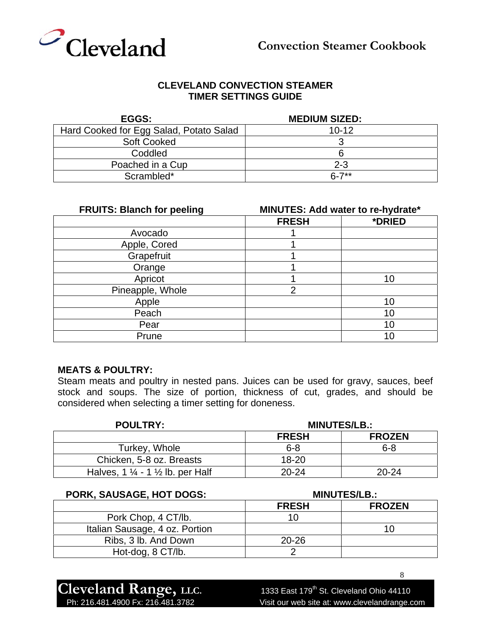

| <b>EGGS:</b>                            | <b>MEDIUM SIZED:</b> |
|-----------------------------------------|----------------------|
| Hard Cooked for Egg Salad, Potato Salad | $10 - 12$            |
| <b>Soft Cooked</b>                      |                      |
| Coddled                                 |                      |
| Poached in a Cup                        | $2 - 3$              |
| Scrambled*                              | $6 - 7**$            |

| <b>FRUITS: Blanch for peeling</b> | MINUTES: Add water to re-hydrate* |        |
|-----------------------------------|-----------------------------------|--------|
|                                   | <b>FRESH</b>                      | *DRIED |
| Avocado                           |                                   |        |
| Apple, Cored                      |                                   |        |
| Grapefruit                        |                                   |        |
| Orange                            |                                   |        |
| Apricot                           |                                   | 10     |
| Pineapple, Whole                  | $\overline{2}$                    |        |
| Apple                             |                                   | 10     |
| Peach                             |                                   | 10     |
| Pear                              |                                   | 10     |
| Prune                             |                                   |        |

#### **MEATS & POULTRY:**

Steam meats and poultry in nested pans. Juices can be used for gravy, sauces, beef stock and soups. The size of portion, thickness of cut, grades, and should be considered when selecting a timer setting for doneness.

| <b>POULTRY:</b>                                        | <b>MINUTES/LB.:</b> |               |
|--------------------------------------------------------|---------------------|---------------|
|                                                        | <b>FRESH</b>        | <b>FROZEN</b> |
| Turkey, Whole                                          | $6 - 8$             | $6 - 8$       |
| Chicken, 5-8 oz. Breasts                               | $18 - 20$           |               |
| Halves, 1 $\frac{1}{4}$ - 1 $\frac{1}{2}$ lb. per Half | $20 - 24$           | $20 - 24$     |

| PORK, SAUSAGE, HOT DOGS:       |              | <b>MINUTES/LB.:</b> |
|--------------------------------|--------------|---------------------|
|                                | <b>FRESH</b> | <b>FROZEN</b>       |
| Pork Chop, 4 CT/lb.            | 10           |                     |
| Italian Sausage, 4 oz. Portion |              |                     |
| Ribs, 3 lb. And Down           | $20 - 26$    |                     |
| Hot-dog, 8 CT/lb.              |              |                     |

**Cleveland Range, LLC.** 1333 East 179<sup>th</sup> St. Cleveland Ohio 44110<br>Ph: 216.481.4900 Fx: 216.481.3782 Visit our web site at: www.clevelandrange.co

Visit our web site at: www.clevelandrange.com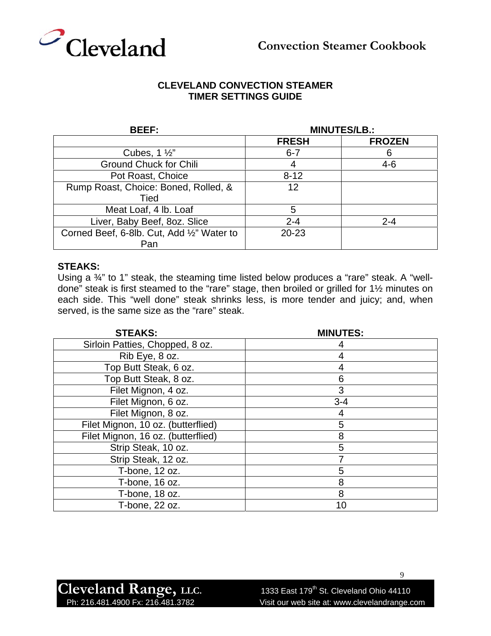

| <b>BEEF:</b>                               |              | <b>MINUTES/LB.:</b> |
|--------------------------------------------|--------------|---------------------|
|                                            | <b>FRESH</b> | <b>FROZEN</b>       |
| Cubes, $1\frac{1}{2}$                      | $6 - 7$      |                     |
| <b>Ground Chuck for Chili</b>              | 4            | $4 - 6$             |
| Pot Roast, Choice                          | $8 - 12$     |                     |
| Rump Roast, Choice: Boned, Rolled, &       | 12           |                     |
| Tied                                       |              |                     |
| Meat Loaf, 4 lb. Loaf                      | 5            |                     |
| Liver, Baby Beef, 8oz. Slice               | $2 - 4$      | $2 - 4$             |
| Corned Beef, 6-8lb. Cut, Add 1/2" Water to | $20 - 23$    |                     |
| Pan                                        |              |                     |

#### **STEAKS:**

Using a  $\frac{3}{4}$ " to 1" steak, the steaming time listed below produces a "rare" steak. A "welldone" steak is first steamed to the "rare" stage, then broiled or grilled for 1½ minutes on each side. This "well done" steak shrinks less, is more tender and juicy; and, when served, is the same size as the "rare" steak.

| <b>STEAKS:</b>                     | <b>MINUTES:</b> |
|------------------------------------|-----------------|
| Sirloin Patties, Chopped, 8 oz.    |                 |
| Rib Eye, 8 oz.                     |                 |
| Top Butt Steak, 6 oz.              | 4               |
| Top Butt Steak, 8 oz.              | 6               |
| Filet Mignon, 4 oz.                | 3               |
| Filet Mignon, 6 oz.                | $3 - 4$         |
| Filet Mignon, 8 oz.                | 4               |
| Filet Mignon, 10 oz. (butterflied) | 5               |
| Filet Mignon, 16 oz. (butterflied) | 8               |
| Strip Steak, 10 oz.                | 5               |
| Strip Steak, 12 oz.                |                 |
| T-bone, 12 oz.                     | 5               |
| T-bone, 16 oz.                     | 8               |
| T-bone, 18 oz.                     | 8               |
| T-bone, 22 oz.                     | 10              |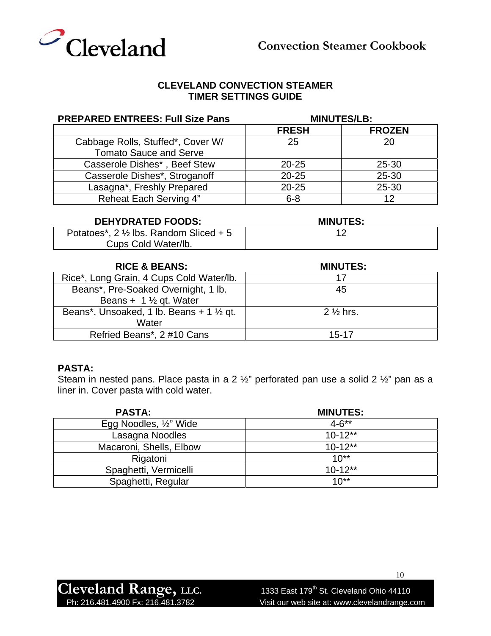

| <b>PREPARED ENTREES: Full Size Pans</b> |              | <b>MINUTES/LB:</b> |
|-----------------------------------------|--------------|--------------------|
|                                         | <b>FRESH</b> | <b>FROZEN</b>      |
| Cabbage Rolls, Stuffed*, Cover W/       | 25           | 20                 |
| <b>Tomato Sauce and Serve</b>           |              |                    |
| Casserole Dishes*, Beef Stew            | $20 - 25$    | 25-30              |
| Casserole Dishes*, Stroganoff           | $20 - 25$    | $25 - 30$          |
| Lasagna*, Freshly Prepared              | $20 - 25$    | 25-30              |
| Reheat Each Serving 4"                  | $6 - 8$      | 12                 |

| <b>DEHYDRATED FOODS:</b>                          | <b>MINUTES:</b> |
|---------------------------------------------------|-----------------|
| Potatoes*, $2 \frac{1}{2}$ lbs. Random Sliced + 5 |                 |
| Cups Cold Water/lb.                               |                 |

| <b>RICE &amp; BEANS:</b>                            | <b>MINUTES:</b>     |
|-----------------------------------------------------|---------------------|
| Rice*, Long Grain, 4 Cups Cold Water/lb.            | 17                  |
| Beans*, Pre-Soaked Overnight, 1 lb.                 | 45                  |
| Beans + $1\frac{1}{2}$ qt. Water                    |                     |
| Beans*, Unsoaked, 1 lb. Beans + 1 $\frac{1}{2}$ gt. | $2\frac{1}{2}$ hrs. |
| Water                                               |                     |
| Refried Beans*, 2 #10 Cans                          | $15 - 17$           |

#### **PASTA:**

Steam in nested pans. Place pasta in a 2 ½" perforated pan use a solid 2 ½" pan as a liner in. Cover pasta with cold water.

| <b>PASTA:</b>           | <b>MINUTES:</b> |
|-------------------------|-----------------|
| Egg Noodles, 1/2" Wide  | $4 - 6^{**}$    |
| Lasagna Noodles         | $10-12**$       |
| Macaroni, Shells, Elbow | $10 - 12**$     |
| Rigatoni                | $10^{**}$       |
| Spaghetti, Vermicelli   | $10 - 12**$     |
| Spaghetti, Regular      | $10^{**}$       |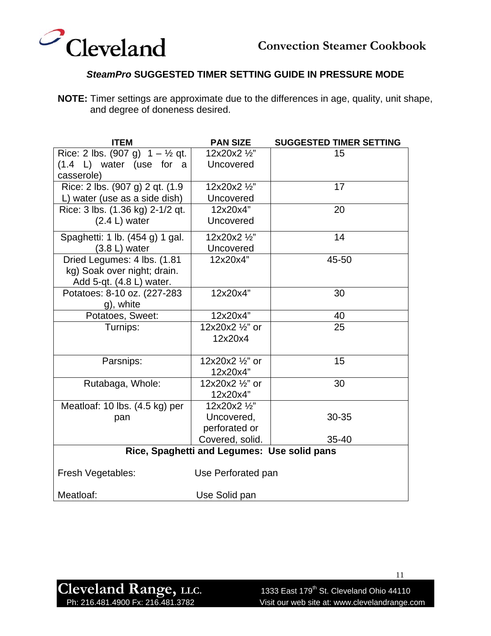



#### *SteamPro* **SUGGESTED TIMER SETTING GUIDE IN PRESSURE MODE**

**NOTE:** Timer settings are approximate due to the differences in age, quality, unit shape, and degree of doneness desired.

| <b>ITEM</b>                                | <b>PAN SIZE</b>                             | <b>SUGGESTED TIMER SETTING</b> |
|--------------------------------------------|---------------------------------------------|--------------------------------|
| Rice: 2 lbs. (907 g) $1 - \frac{1}{2}$ qt. | 12x20x2 1/2"                                | 15                             |
| $(1.4 \t L)$ water (use for a              | Uncovered                                   |                                |
| casserole)                                 |                                             |                                |
| Rice: 2 lbs. (907 g) 2 qt. (1.9            | 12x20x2 1/2"                                | 17                             |
| L) water (use as a side dish)              | Uncovered                                   |                                |
| Rice: 3 lbs. (1.36 kg) 2-1/2 qt.           | 12x20x4"                                    | 20                             |
| $(2.4 L)$ water                            | Uncovered                                   |                                |
| Spaghetti: 1 lb. (454 g) 1 gal.            | 12x20x2 1/2"                                | 14                             |
| $(3.8 L)$ water                            | Uncovered                                   |                                |
| Dried Legumes: 4 lbs. (1.81)               | 12x20x4"                                    | 45-50                          |
| kg) Soak over night; drain.                |                                             |                                |
| Add 5-qt. (4.8 L) water.                   |                                             |                                |
| Potatoes: 8-10 oz. (227-283                | 12x20x4"                                    | 30                             |
| g), white                                  |                                             |                                |
| Potatoes, Sweet:                           | 12x20x4"                                    | 40                             |
| Turnips:                                   | 12x20x2 1/2" or                             | 25                             |
|                                            | 12x20x4                                     |                                |
|                                            |                                             |                                |
| Parsnips:                                  | 12x20x2 1/2" or                             | 15                             |
|                                            | 12x20x4"                                    |                                |
| Rutabaga, Whole:                           | 12x20x2 1/2" or                             | 30                             |
|                                            | 12x20x4"                                    |                                |
| Meatloaf: 10 lbs. (4.5 kg) per             | 12x20x2 1/2"                                |                                |
| pan                                        | Uncovered,                                  | 30-35                          |
|                                            | perforated or                               |                                |
|                                            | Covered, solid.                             | 35-40                          |
|                                            | Rice, Spaghetti and Legumes: Use solid pans |                                |
| Fresh Vegetables:                          | Use Perforated pan                          |                                |
| Meatloaf:                                  | Use Solid pan                               |                                |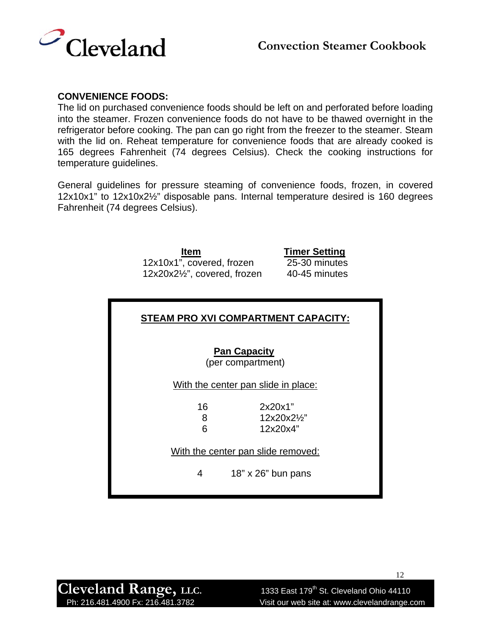

#### **CONVENIENCE FOODS:**

The lid on purchased convenience foods should be left on and perforated before loading into the steamer. Frozen convenience foods do not have to be thawed overnight in the refrigerator before cooking. The pan can go right from the freezer to the steamer. Steam with the lid on. Reheat temperature for convenience foods that are already cooked is 165 degrees Fahrenheit (74 degrees Celsius). Check the cooking instructions for temperature guidelines.

General guidelines for pressure steaming of convenience foods, frozen, in covered 12x10x1" to 12x10x2½" disposable pans. Internal temperature desired is 160 degrees Fahrenheit (74 degrees Celsius).

> **Item Timer Setting** 12x10x1", covered, frozen 25-30 minutes 12x20x2½", covered, frozen 40-45 minutes

| STEAM PRO XVI COMPARTMENT CAPACITY: |                                          |  |  |
|-------------------------------------|------------------------------------------|--|--|
|                                     | <b>Pan Capacity</b><br>(per compartment) |  |  |
| With the center pan slide in place: |                                          |  |  |
| 16<br>8<br>Բ                        | 2x20x1"<br>12x20x21/2"<br>12x20x4"       |  |  |
| With the center pan slide removed:  |                                          |  |  |
| 4                                   | 18" x 26" bun pans                       |  |  |

Cleveland Range, LLC. 1333 East 179<sup>th</sup> St. Cleveland Ohio 44110

Ph: 216.481.4900 Fx: 216.481.3782 Visit our web site at: www.clevelandrange.com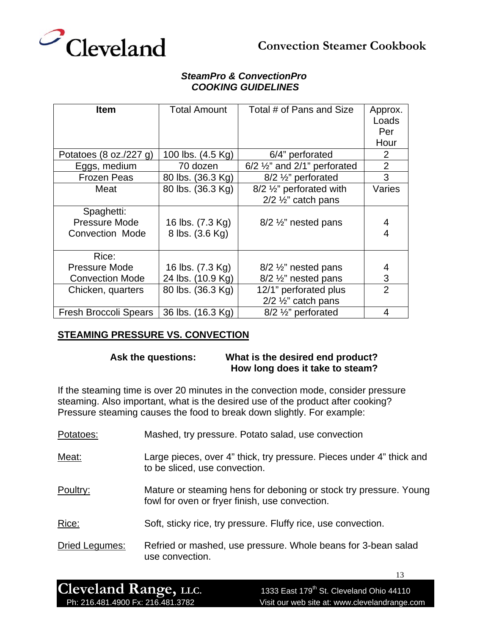

#### *SteamPro & ConvectionPro COOKING GUIDELINES*

| <b>Item</b>                                    | Total Amount                        | Total # of Pans and Size                                     | Approx.<br>Loads<br>Per<br>Hour |
|------------------------------------------------|-------------------------------------|--------------------------------------------------------------|---------------------------------|
| Potatoes $(8 \text{ oz.}/227 \text{ g})$       | 100 lbs. (4.5 Kg)                   | 6/4" perforated                                              | 2                               |
| Eggs, medium                                   | 70 dozen                            | $6/2$ $\frac{1}{2}$ and 2/1" perforated                      | $\overline{2}$                  |
| <b>Frozen Peas</b>                             | 80 lbs. (36.3 Kg)                   | 8/2 1/ <sub>2</sub> " perforated                             | 3                               |
| Meat                                           | 80 lbs. (36.3 Kg)                   | 8/2 1/2" perforated with<br>$2/2$ $\frac{1}{2}$ " catch pans | Varies                          |
| Spaghetti:<br>Pressure Mode<br>Convection Mode | 16 lbs. (7.3 Kg)<br>8 lbs. (3.6 Kg) | $8/2$ %" nested pans                                         | 4<br>4                          |
| Rice:                                          |                                     |                                                              |                                 |
| <b>Pressure Mode</b>                           | 16 lbs. (7.3 Kg)                    | $8/2 \frac{1}{2}$ nested pans                                | 4                               |
| <b>Convection Mode</b>                         | 24 lbs. (10.9 Kg)                   | 8/2 1/ <sub>2</sub> " nested pans                            | 3                               |
| Chicken, quarters                              | 80 lbs. (36.3 Kg)                   | 12/1" perforated plus<br>$2/2$ $\frac{1}{2}$ " catch pans    | $\overline{2}$                  |
| Fresh Broccoli Spears                          | 36 lbs. (16.3 Kg)                   | $8/2 \frac{1}{2}$ perforated                                 | 4                               |

#### **STEAMING PRESSURE VS. CONVECTION**

#### **Ask the questions: What is the desired end product? How long does it take to steam?**

If the steaming time is over 20 minutes in the convection mode, consider pressure steaming. Also important, what is the desired use of the product after cooking? Pressure steaming causes the food to break down slightly. For example:

| Potatoes:             | Mashed, try pressure. Potato salad, use convection                                                                  |
|-----------------------|---------------------------------------------------------------------------------------------------------------------|
| Meat:                 | Large pieces, over 4" thick, try pressure. Pieces under 4" thick and<br>to be sliced, use convection.               |
| Poultry:              | Mature or steaming hens for deboning or stock try pressure. Young<br>fowl for oven or fryer finish, use convection. |
| Rice:                 | Soft, sticky rice, try pressure. Fluffy rice, use convection.                                                       |
| <b>Dried Legumes:</b> | Refried or mashed, use pressure. Whole beans for 3-bean salad<br>use convection.                                    |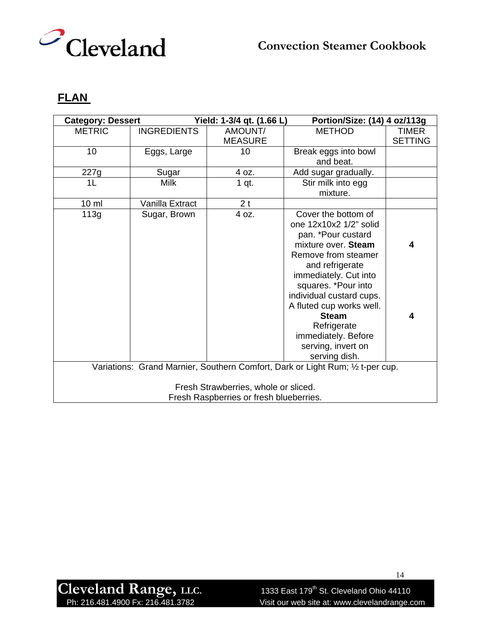

## **FLAN**

| <b>Category: Dessert</b>             |                    | Yield: 1-3/4 qt. (1.66 L)               | Portion/Size: (14) 4 oz/113g                                                   |                |
|--------------------------------------|--------------------|-----------------------------------------|--------------------------------------------------------------------------------|----------------|
| <b>METRIC</b>                        | <b>INGREDIENTS</b> | AMOUNT/                                 | <b>METHOD</b>                                                                  | <b>TIMER</b>   |
|                                      |                    | <b>MEASURE</b>                          |                                                                                | <b>SETTING</b> |
| 10                                   | Eggs, Large        | 10                                      | Break eggs into bowl                                                           |                |
|                                      |                    |                                         | and beat.                                                                      |                |
| 227g                                 | Sugar              | 4 oz.                                   | Add sugar gradually.                                                           |                |
| 1 <sub>L</sub>                       | <b>Milk</b>        | 1 qt.                                   | Stir milk into egg                                                             |                |
|                                      |                    |                                         | mixture.                                                                       |                |
| 10 <sub>m</sub>                      | Vanilla Extract    | 2 <sub>t</sub>                          |                                                                                |                |
| 113g                                 | Sugar, Brown       | 4 oz.                                   | Cover the bottom of                                                            |                |
|                                      |                    |                                         | one 12x10x2 1/2" solid                                                         |                |
|                                      |                    |                                         | pan. *Pour custard                                                             |                |
|                                      |                    |                                         | mixture over. Steam                                                            | 4              |
|                                      |                    |                                         | Remove from steamer                                                            |                |
|                                      |                    |                                         | and refrigerate                                                                |                |
|                                      |                    |                                         | immediately. Cut into                                                          |                |
|                                      |                    |                                         | squares. *Pour into                                                            |                |
|                                      |                    |                                         | individual custard cups.                                                       |                |
|                                      |                    |                                         | A fluted cup works well.                                                       |                |
|                                      |                    |                                         | <b>Steam</b>                                                                   | 4              |
|                                      |                    |                                         | Refrigerate                                                                    |                |
|                                      |                    |                                         | immediately. Before                                                            |                |
|                                      |                    |                                         | serving, invert on                                                             |                |
|                                      |                    |                                         | serving dish.                                                                  |                |
|                                      |                    |                                         | Variations: Grand Marnier, Southern Comfort, Dark or Light Rum; 1/2 t-per cup. |                |
| Fresh Strawberries, whole or sliced. |                    |                                         |                                                                                |                |
|                                      |                    | Fresh Raspberries or fresh blueberries. |                                                                                |                |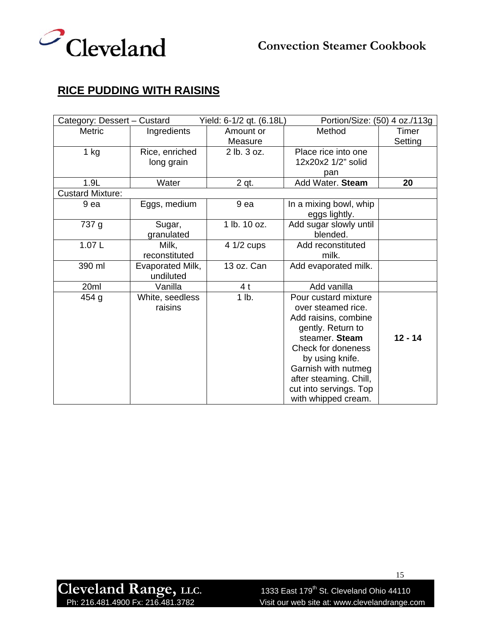

# **RICE PUDDING WITH RAISINS**

| Category: Dessert - Custard |                               | Yield: 6-1/2 qt. (6.18L) | Portion/Size: (50) 4 oz./113g |           |
|-----------------------------|-------------------------------|--------------------------|-------------------------------|-----------|
| Metric                      | Ingredients                   | Amount or                | Method                        | Timer     |
|                             |                               | Measure                  |                               | Setting   |
| $1$ kg                      | Rice, enriched                | 2 lb. 3 oz.              | Place rice into one           |           |
|                             | long grain                    |                          | 12x20x2 1/2" solid            |           |
|                             |                               |                          | pan                           |           |
| 1.9L                        | Water                         | 2 gt.                    | Add Water. Steam              | 20        |
| <b>Custard Mixture:</b>     |                               |                          |                               |           |
| 9 ea                        | Eggs, medium                  | 9 ea                     | In a mixing bowl, whip        |           |
|                             |                               |                          | eggs lightly.                 |           |
| 737 g                       | Sugar,                        | 1 lb. 10 oz.             | Add sugar slowly until        |           |
|                             | granulated                    |                          | blended.                      |           |
| 1.07L                       | Milk,                         | 4 1/2 cups               | Add reconstituted             |           |
|                             | reconstituted                 |                          | milk.                         |           |
| 390 ml                      | Evaporated Milk,<br>undiluted | 13 oz. Can               | Add evaporated milk.          |           |
| 20ml                        | Vanilla                       | 4 t                      | Add vanilla                   |           |
| 454 g                       | White, seedless               | 1 lb.                    | Pour custard mixture          |           |
|                             | raisins                       |                          | over steamed rice.            |           |
|                             |                               |                          | Add raisins, combine          |           |
|                             |                               |                          | gently. Return to             |           |
|                             |                               |                          | steamer. Steam                | $12 - 14$ |
|                             |                               |                          | Check for doneness            |           |
|                             |                               |                          | by using knife.               |           |
|                             |                               |                          | Garnish with nutmeg           |           |
|                             |                               |                          | after steaming. Chill,        |           |
|                             |                               |                          | cut into servings. Top        |           |
|                             |                               |                          | with whipped cream.           |           |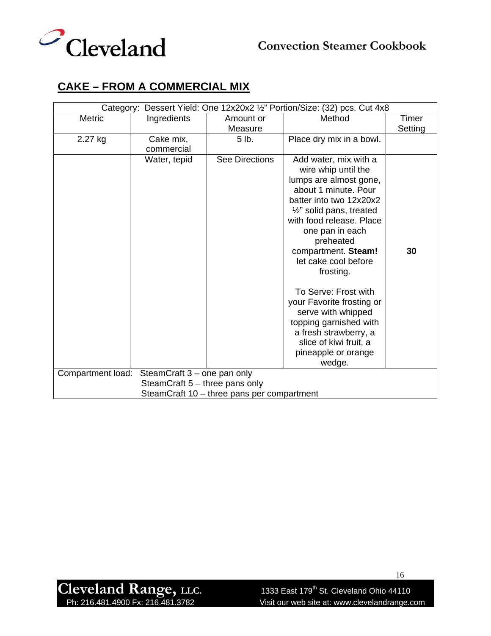

# **CAKE – FROM A COMMERCIAL MIX**

| Category: Dessert Yield: One 12x20x2 1/2" Portion/Size: (32) pcs. Cut 4x8 |              |                |                                                                 |         |
|---------------------------------------------------------------------------|--------------|----------------|-----------------------------------------------------------------|---------|
| <b>Metric</b>                                                             | Ingredients  | Amount or      | Method                                                          | Timer   |
|                                                                           |              | Measure        |                                                                 | Setting |
| 2.27 kg                                                                   | Cake mix,    | 5 lb.          | Place dry mix in a bowl.                                        |         |
|                                                                           | commercial   |                |                                                                 |         |
|                                                                           | Water, tepid | See Directions | Add water, mix with a                                           |         |
|                                                                           |              |                | wire whip until the                                             |         |
|                                                                           |              |                | lumps are almost gone,                                          |         |
|                                                                           |              |                | about 1 minute, Pour                                            |         |
|                                                                           |              |                | batter into two 12x20x2                                         |         |
|                                                                           |              |                | $\frac{1}{2}$ " solid pans, treated<br>with food release. Place |         |
|                                                                           |              |                |                                                                 |         |
|                                                                           |              |                | one pan in each<br>preheated                                    |         |
|                                                                           |              |                | compartment. Steam!                                             | 30      |
|                                                                           |              |                | let cake cool before                                            |         |
|                                                                           |              |                | frosting.                                                       |         |
|                                                                           |              |                |                                                                 |         |
|                                                                           |              |                | To Serve: Frost with                                            |         |
|                                                                           |              |                | your Favorite frosting or                                       |         |
|                                                                           |              |                | serve with whipped                                              |         |
|                                                                           |              |                | topping garnished with                                          |         |
|                                                                           |              |                | a fresh strawberry, a                                           |         |
|                                                                           |              |                | slice of kiwi fruit, a                                          |         |
|                                                                           |              |                | pineapple or orange                                             |         |
|                                                                           |              |                | wedge.                                                          |         |
| SteamCraft 3 - one pan only<br>Compartment load:                          |              |                |                                                                 |         |
| SteamCraft 5 – three pans only                                            |              |                |                                                                 |         |
| SteamCraft 10 - three pans per compartment                                |              |                |                                                                 |         |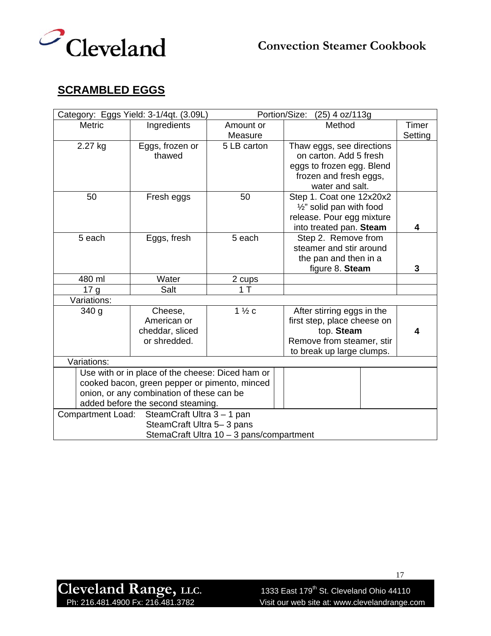



# **SCRAMBLED EGGS**

|                          | Category: Eggs Yield: 3-1/4qt. (3.09L)           |                                          | Portion/Size:<br>$(25)$ 4 oz/113g   |         |
|--------------------------|--------------------------------------------------|------------------------------------------|-------------------------------------|---------|
| <b>Metric</b>            | Ingredients                                      | Amount or                                | Method                              | Timer   |
|                          |                                                  | Measure                                  |                                     | Setting |
| 2.27 kg                  | Eggs, frozen or                                  | 5 LB carton                              | Thaw eggs, see directions           |         |
|                          | thawed                                           |                                          | on carton. Add 5 fresh              |         |
|                          |                                                  |                                          | eggs to frozen egg. Blend           |         |
|                          |                                                  |                                          | frozen and fresh eggs,              |         |
|                          |                                                  |                                          | water and salt.                     |         |
| 50                       | Fresh eggs                                       | 50                                       | Step 1. Coat one 12x20x2            |         |
|                          |                                                  |                                          | $\frac{1}{2}$ " solid pan with food |         |
|                          |                                                  |                                          | release. Pour egg mixture           |         |
|                          |                                                  |                                          | into treated pan. Steam             | 4       |
| 5 each                   | Eggs, fresh                                      | 5 each                                   | Step 2. Remove from                 |         |
|                          |                                                  |                                          | steamer and stir around             |         |
|                          |                                                  |                                          | the pan and then in a               |         |
|                          |                                                  |                                          | figure 8. Steam                     | 3       |
| 480 ml                   | Water                                            | 2 cups                                   |                                     |         |
| 17 <sub>g</sub>          | Salt                                             | 1T                                       |                                     |         |
| Variations:              |                                                  |                                          |                                     |         |
| 340 <sub>g</sub>         | Cheese,                                          | $1\frac{1}{2}c$                          | After stirring eggs in the          |         |
|                          | American or                                      |                                          | first step, place cheese on         |         |
|                          | cheddar, sliced                                  |                                          | top. Steam                          | 4       |
|                          | or shredded.                                     |                                          | Remove from steamer, stir           |         |
|                          |                                                  |                                          | to break up large clumps.           |         |
| Variations:              |                                                  |                                          |                                     |         |
|                          | Use with or in place of the cheese: Diced ham or |                                          |                                     |         |
|                          | cooked bacon, green pepper or pimento, minced    |                                          |                                     |         |
|                          | onion, or any combination of these can be        |                                          |                                     |         |
|                          | added before the second steaming.                |                                          |                                     |         |
| <b>Compartment Load:</b> | SteamCraft Ultra 3 - 1 pan                       |                                          |                                     |         |
|                          | SteamCraft Ultra 5-3 pans                        |                                          |                                     |         |
|                          |                                                  | StemaCraft Ultra 10 - 3 pans/compartment |                                     |         |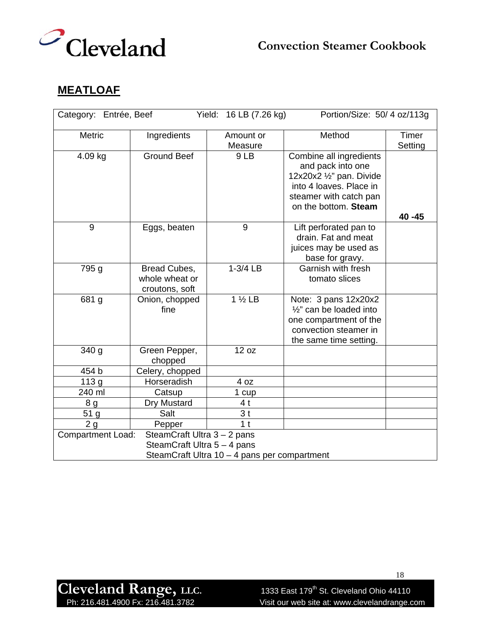



## **MEATLOAF**

| Yield: 16 LB (7.26 kg)<br>Portion/Size: 50/4 oz/113g<br>Category: Entrée, Beef                                                         |                                                  |                      |                                                                                                                                                       |                  |
|----------------------------------------------------------------------------------------------------------------------------------------|--------------------------------------------------|----------------------|-------------------------------------------------------------------------------------------------------------------------------------------------------|------------------|
| <b>Metric</b>                                                                                                                          | Ingredients                                      | Amount or<br>Measure | Method                                                                                                                                                | Timer<br>Setting |
| 4.09 kg                                                                                                                                | <b>Ground Beef</b>                               | 9LB                  | Combine all ingredients<br>and pack into one<br>12x20x2 1/2" pan. Divide<br>into 4 loaves. Place in<br>steamer with catch pan<br>on the bottom. Steam | 40 - 45          |
| 9                                                                                                                                      | Eggs, beaten                                     | 9                    | Lift perforated pan to<br>drain. Fat and meat<br>juices may be used as<br>base for gravy.                                                             |                  |
| 795 g                                                                                                                                  | Bread Cubes,<br>whole wheat or<br>croutons, soft | $1-3/4$ LB           | Garnish with fresh<br>tomato slices                                                                                                                   |                  |
| 681 g                                                                                                                                  | Onion, chopped<br>fine                           | $1\frac{1}{2}$ LB    | Note: 3 pans 12x20x2<br>$\frac{1}{2}$ " can be loaded into<br>one compartment of the<br>convection steamer in<br>the same time setting.               |                  |
| 340 <sub>g</sub>                                                                                                                       | Green Pepper,<br>chopped                         | 12 oz                |                                                                                                                                                       |                  |
| 454 b                                                                                                                                  | Celery, chopped                                  |                      |                                                                                                                                                       |                  |
| 113 g                                                                                                                                  | Horseradish                                      | 4 oz                 |                                                                                                                                                       |                  |
| 240 ml                                                                                                                                 | Catsup                                           | 1 cup                |                                                                                                                                                       |                  |
| 8 <sub>g</sub>                                                                                                                         | Dry Mustard                                      | 4 <sub>t</sub>       |                                                                                                                                                       |                  |
| 51 g                                                                                                                                   | Salt                                             | 3 <sub>t</sub>       |                                                                                                                                                       |                  |
| 2g                                                                                                                                     | Pepper                                           | 1 <sub>t</sub>       |                                                                                                                                                       |                  |
| <b>Compartment Load:</b><br>SteamCraft Ultra 3 - 2 pans<br>SteamCraft Ultra 5 - 4 pans<br>SteamCraft Ultra 10 - 4 pans per compartment |                                                  |                      |                                                                                                                                                       |                  |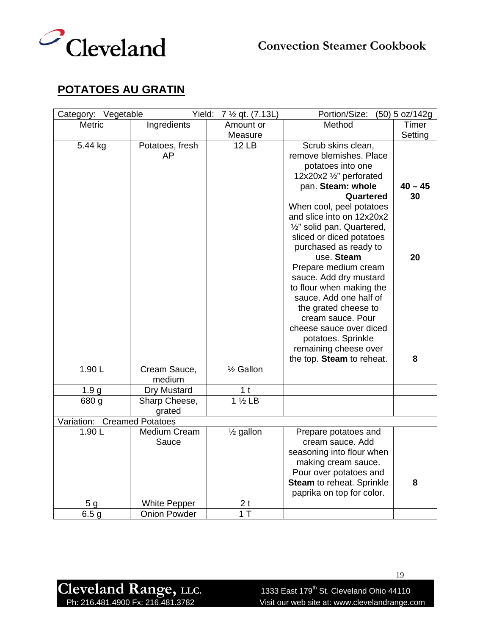



## **POTATOES AU GRATIN**

| Category: Vegetable         | Yield:              | 7 1/2 qt. (7.13L)      | Portion/Size:              | (50) 5 oz/142g |
|-----------------------------|---------------------|------------------------|----------------------------|----------------|
| Metric                      | Ingredients         | Amount or              | Method                     | Timer          |
|                             |                     | Measure                |                            | Setting        |
| 5.44 kg                     | Potatoes, fresh     | <b>12 LB</b>           | Scrub skins clean,         |                |
|                             | AP                  |                        | remove blemishes. Place    |                |
|                             |                     |                        | potatoes into one          |                |
|                             |                     |                        | 12x20x2 1/2" perforated    |                |
|                             |                     |                        | pan. Steam: whole          | $40 - 45$      |
|                             |                     |                        | Quartered                  | 30             |
|                             |                     |                        | When cool, peel potatoes   |                |
|                             |                     |                        | and slice into on 12x20x2  |                |
|                             |                     |                        | 1/2" solid pan. Quartered, |                |
|                             |                     |                        | sliced or diced potatoes   |                |
|                             |                     |                        | purchased as ready to      |                |
|                             |                     |                        | use. Steam                 | 20             |
|                             |                     |                        | Prepare medium cream       |                |
|                             |                     |                        | sauce. Add dry mustard     |                |
|                             |                     |                        | to flour when making the   |                |
|                             |                     |                        | sauce. Add one half of     |                |
|                             |                     |                        | the grated cheese to       |                |
|                             |                     |                        | cream sauce. Pour          |                |
|                             |                     |                        | cheese sauce over diced    |                |
|                             |                     |                        | potatoes. Sprinkle         |                |
|                             |                     |                        | remaining cheese over      |                |
|                             |                     |                        | the top. Steam to reheat.  | 8              |
| 1.90L                       | Cream Sauce,        | 1/ <sub>2</sub> Gallon |                            |                |
|                             | medium              |                        |                            |                |
| 1.9 <sub>g</sub>            | Dry Mustard         | 1 <sub>t</sub>         |                            |                |
| 680 g                       | Sharp Cheese,       | $1\frac{1}{2}$ LB      |                            |                |
|                             | grated              |                        |                            |                |
| Variation: Creamed Potatoes |                     |                        |                            |                |
| 1.90L                       | Medium Cream        | 1/ <sub>2</sub> gallon | Prepare potatoes and       |                |
|                             | Sauce               |                        | cream sauce. Add           |                |
|                             |                     |                        | seasoning into flour when  |                |
|                             |                     |                        | making cream sauce.        |                |
|                             |                     |                        | Pour over potatoes and     |                |
|                             |                     |                        | Steam to reheat. Sprinkle  | 8              |
|                             |                     |                        | paprika on top for color.  |                |
| 5 <sub>g</sub>              | <b>White Pepper</b> | 2 <sub>t</sub>         |                            |                |
| 6.5 <sub>g</sub>            | <b>Onion Powder</b> | 1T                     |                            |                |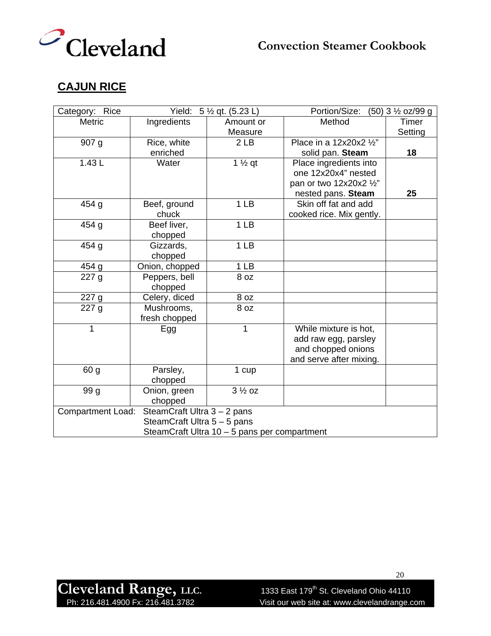



## **CAJUN RICE**

| Category: Rice                               |                             | Yield: $5\frac{1}{2}$ qt. (5.23 L) | Portion/Size:            | (50) 3 1/2 oz/99 g |
|----------------------------------------------|-----------------------------|------------------------------------|--------------------------|--------------------|
| <b>Metric</b>                                | Ingredients                 | Amount or                          | Method                   | Timer              |
|                                              |                             | Measure                            |                          | Setting            |
| 907 <sub>g</sub>                             | Rice, white                 | 2 <sub>LB</sub>                    | Place in a 12x20x2 1/2"  |                    |
|                                              | enriched                    |                                    | solid pan. Steam         | 18                 |
| 1.43L                                        | Water                       | $1\frac{1}{2}$ qt                  | Place ingredients into   |                    |
|                                              |                             |                                    | one 12x20x4" nested      |                    |
|                                              |                             |                                    | pan or two 12x20x2 1/2"  |                    |
|                                              |                             |                                    | nested pans. Steam       | 25                 |
| 454 g                                        | Beef, ground                | 1 <sub>LB</sub>                    | Skin off fat and add     |                    |
|                                              | chuck                       |                                    | cooked rice. Mix gently. |                    |
| 454 g                                        | Beef liver,                 | 1 <sub>LB</sub>                    |                          |                    |
|                                              | chopped                     |                                    |                          |                    |
| 454 g                                        | Gizzards,                   | 1 <sub>LB</sub>                    |                          |                    |
|                                              | chopped                     |                                    |                          |                    |
| 454 g                                        | Onion, chopped              | 1 <sub>LB</sub>                    |                          |                    |
| 227g                                         | Peppers, bell               | 8 oz                               |                          |                    |
|                                              | chopped                     |                                    |                          |                    |
| 227 g                                        | Celery, diced               | 8 oz                               |                          |                    |
| 227g                                         | Mushrooms,                  | 8 oz                               |                          |                    |
|                                              | fresh chopped               |                                    |                          |                    |
| 1                                            | Egg                         | 1                                  | While mixture is hot,    |                    |
|                                              |                             |                                    | add raw egg, parsley     |                    |
|                                              |                             |                                    | and chopped onions       |                    |
|                                              |                             |                                    | and serve after mixing.  |                    |
| 60 g                                         | Parsley,                    | 1 cup                              |                          |                    |
|                                              | chopped                     |                                    |                          |                    |
| 99 g                                         | Onion, green                | $3\frac{1}{2}$ oz                  |                          |                    |
|                                              | chopped                     |                                    |                          |                    |
| <b>Compartment Load:</b>                     | SteamCraft Ultra 3 - 2 pans |                                    |                          |                    |
|                                              | SteamCraft Ultra 5 - 5 pans |                                    |                          |                    |
| SteamCraft Ultra 10 - 5 pans per compartment |                             |                                    |                          |                    |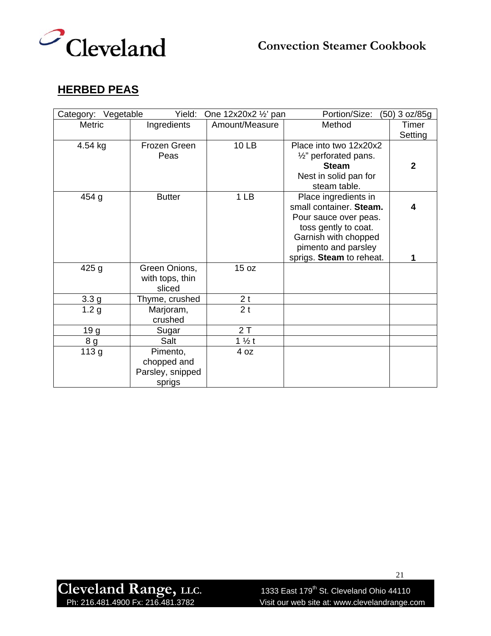

## **HERBED PEAS**

| Category: Vegetable | Yield:           | One 12x20x2 1/2' pan | Portion/Size:                    | (50) 3 oz/85g |
|---------------------|------------------|----------------------|----------------------------------|---------------|
| <b>Metric</b>       | Ingredients      | Amount/Measure       | Method                           | Timer         |
|                     |                  |                      |                                  | Setting       |
| 4.54 kg             | Frozen Green     | 10 LB                | Place into two 12x20x2           |               |
|                     | Peas             |                      | $\frac{1}{2}$ " perforated pans. |               |
|                     |                  |                      | <b>Steam</b>                     | $\mathbf{2}$  |
|                     |                  |                      | Nest in solid pan for            |               |
|                     |                  |                      | steam table.                     |               |
| 454 g               | <b>Butter</b>    | 1 <sub>LB</sub>      | Place ingredients in             |               |
|                     |                  |                      | small container. Steam.          | 4             |
|                     |                  |                      | Pour sauce over peas.            |               |
|                     |                  |                      | toss gently to coat.             |               |
|                     |                  |                      | Garnish with chopped             |               |
|                     |                  |                      | pimento and parsley              |               |
|                     |                  |                      | sprigs. Steam to reheat.         | 1             |
| 425g                | Green Onions,    | 15 oz                |                                  |               |
|                     | with tops, thin  |                      |                                  |               |
|                     | sliced           |                      |                                  |               |
| 3.3 <sub>g</sub>    | Thyme, crushed   | 2t                   |                                  |               |
| 1.2 <sub>g</sub>    | Marjoram,        | 2 <sub>t</sub>       |                                  |               |
|                     | crushed          |                      |                                  |               |
| 19 g                | Sugar            | 2T                   |                                  |               |
| 8g                  | Salt             | $1\frac{1}{2}t$      |                                  |               |
| 113 g               | Pimento,         | 4 oz                 |                                  |               |
|                     | chopped and      |                      |                                  |               |
|                     | Parsley, snipped |                      |                                  |               |
|                     | sprigs           |                      |                                  |               |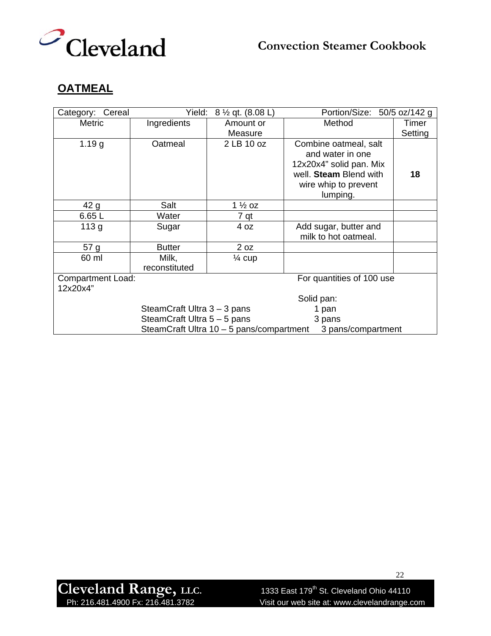

## **OATMEAL**

| Cereal<br>Category:                                   | Yield:                      | 8 ½ qt. (8.08 L)                         | Portion/Size: 50/5 oz/142 g |         |
|-------------------------------------------------------|-----------------------------|------------------------------------------|-----------------------------|---------|
| <b>Metric</b>                                         | Ingredients                 | Amount or                                | Method                      | Timer   |
|                                                       |                             | Measure                                  |                             | Setting |
| 1.19 g                                                | Oatmeal                     | 2 LB 10 oz                               | Combine oatmeal, salt       |         |
|                                                       |                             |                                          | and water in one            |         |
|                                                       |                             |                                          | 12x20x4" solid pan. Mix     |         |
|                                                       |                             |                                          | well. Steam Blend with      | 18      |
|                                                       |                             |                                          | wire whip to prevent        |         |
|                                                       |                             |                                          | lumping.                    |         |
| 42 g                                                  | Salt                        | $1\frac{1}{2}$ oz                        |                             |         |
| 6.65 L                                                | Water                       | 7 qt                                     |                             |         |
| 113 <sub>g</sub>                                      | Sugar                       | 4 oz                                     | Add sugar, butter and       |         |
|                                                       |                             |                                          | milk to hot oatmeal.        |         |
| 57 g                                                  | <b>Butter</b>               | 2 oz                                     |                             |         |
| 60 ml                                                 | Milk,                       | $\frac{1}{4}$ cup                        |                             |         |
|                                                       | reconstituted               |                                          |                             |         |
| <b>Compartment Load:</b><br>For quantities of 100 use |                             |                                          |                             |         |
| 12x20x4"                                              |                             |                                          |                             |         |
| Solid pan:                                            |                             |                                          |                             |         |
| SteamCraft Ultra 3 - 3 pans<br>1 pan                  |                             |                                          |                             |         |
|                                                       | SteamCraft Ultra 5 - 5 pans |                                          | 3 pans                      |         |
|                                                       |                             | SteamCraft Ultra 10 - 5 pans/compartment | 3 pans/compartment          |         |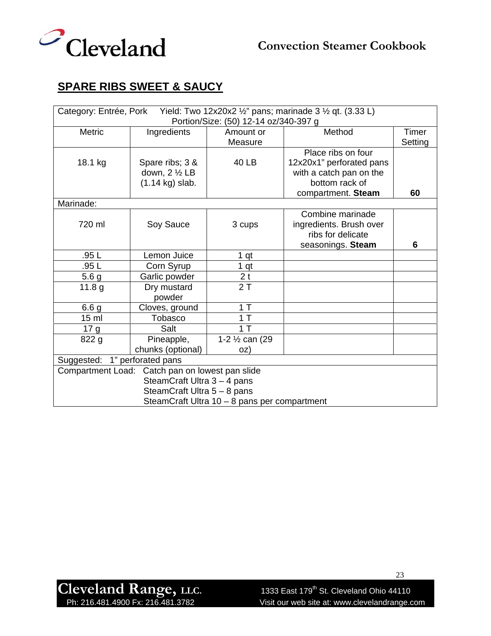

# **SPARE RIBS SWEET & SAUCY**

| Yield: Two 12x20x2 1/2" pans; marinade 3 1/2 qt. (3.33 L)<br>Category: Entrée, Pork |                             |                 |                          |         |  |
|-------------------------------------------------------------------------------------|-----------------------------|-----------------|--------------------------|---------|--|
| Portion/Size: (50) 12-14 oz/340-397 g                                               |                             |                 |                          |         |  |
| <b>Metric</b>                                                                       | Ingredients                 | Amount or       | Method                   | Timer   |  |
|                                                                                     |                             | Measure         |                          | Setting |  |
|                                                                                     |                             |                 | Place ribs on four       |         |  |
| 18.1 kg                                                                             | Spare ribs; 3 &             | 40 LB           | 12x20x1" perforated pans |         |  |
|                                                                                     | down, $2 \frac{1}{2}$ LB    |                 | with a catch pan on the  |         |  |
|                                                                                     | $(1.14 \text{ kg})$ slab.   |                 | bottom rack of           |         |  |
|                                                                                     |                             |                 | compartment. Steam       | 60      |  |
| Marinade:                                                                           |                             |                 |                          |         |  |
|                                                                                     |                             |                 | Combine marinade         |         |  |
| 720 ml                                                                              | Soy Sauce                   | 3 cups          | ingredients. Brush over  |         |  |
|                                                                                     |                             |                 | ribs for delicate        |         |  |
|                                                                                     |                             |                 | seasonings. Steam        | 6       |  |
| .95L                                                                                | Lemon Juice                 | 1 <sub>qt</sub> |                          |         |  |
| .95L                                                                                | Corn Syrup                  | 1 <sub>qt</sub> |                          |         |  |
| 5.6 <sub>g</sub>                                                                    | Garlic powder               | 2 <sub>t</sub>  |                          |         |  |
| 11.8 g                                                                              | Dry mustard                 | 2T              |                          |         |  |
|                                                                                     | powder                      |                 |                          |         |  |
| 6.6 <sub>g</sub>                                                                    | Cloves, ground              | 1T              |                          |         |  |
| 15 <sub>m</sub>                                                                     | Tobasco                     | 1T              |                          |         |  |
| 17 <sub>g</sub>                                                                     | Salt                        | 1T              |                          |         |  |
| 822 g                                                                               | Pineapple,                  | 1-2 1/2 can (29 |                          |         |  |
|                                                                                     | chunks (optional)           | OZ)             |                          |         |  |
| 1" perforated pans<br>Suggested:                                                    |                             |                 |                          |         |  |
| Compartment Load: Catch pan on lowest pan slide                                     |                             |                 |                          |         |  |
| SteamCraft Ultra 3 - 4 pans                                                         |                             |                 |                          |         |  |
|                                                                                     | SteamCraft Ultra 5 - 8 pans |                 |                          |         |  |
| SteamCraft Ultra 10 - 8 pans per compartment                                        |                             |                 |                          |         |  |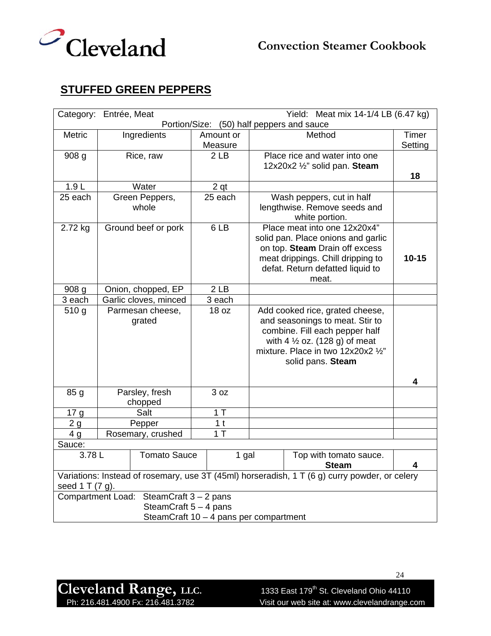



# **STUFFED GREEN PEPPERS**

| Category: Entrée, Meat<br>Yield: Meat mix 14-1/4 LB (6.47 kg)                                                    |                             |                      |                        |                                    |           |  |
|------------------------------------------------------------------------------------------------------------------|-----------------------------|----------------------|------------------------|------------------------------------|-----------|--|
| Portion/Size: (50) half peppers and sauce                                                                        |                             |                      |                        |                                    |           |  |
| Metric                                                                                                           | Ingredients                 | Amount or            |                        | Method                             | Timer     |  |
|                                                                                                                  |                             | Measure              |                        |                                    | Setting   |  |
| 908 g                                                                                                            | Rice, raw                   | 2 <sub>LB</sub>      |                        | Place rice and water into one      |           |  |
|                                                                                                                  |                             |                      |                        | 12x20x2 1/2" solid pan. Steam      |           |  |
|                                                                                                                  | 18                          |                      |                        |                                    |           |  |
| 1.9L                                                                                                             | Water                       | 2 <sub>qt</sub>      |                        |                                    |           |  |
| 25 each                                                                                                          | Green Peppers,              | 25 each              |                        | Wash peppers, cut in half          |           |  |
|                                                                                                                  | whole                       |                      |                        | lengthwise. Remove seeds and       |           |  |
|                                                                                                                  |                             |                      |                        | white portion.                     |           |  |
| 2.72 kg                                                                                                          | Ground beef or pork         | 6LB                  |                        | Place meat into one 12x20x4"       |           |  |
|                                                                                                                  |                             |                      |                        | solid pan. Place onions and garlic |           |  |
|                                                                                                                  |                             |                      |                        | on top. Steam Drain off excess     |           |  |
|                                                                                                                  |                             |                      |                        | meat drippings. Chill dripping to  | $10 - 15$ |  |
|                                                                                                                  |                             |                      |                        | defat. Return defatted liquid to   |           |  |
|                                                                                                                  |                             |                      |                        | meat.                              |           |  |
| 908 g                                                                                                            | Onion, chopped, EP          | 2 <sub>LB</sub>      |                        |                                    |           |  |
| 3 each                                                                                                           | Garlic cloves, minced       | $3$ each             |                        |                                    |           |  |
| 510 g                                                                                                            | Parmesan cheese,            | 18 oz                |                        | Add cooked rice, grated cheese,    |           |  |
|                                                                                                                  | grated                      |                      |                        | and seasonings to meat. Stir to    |           |  |
| combine. Fill each pepper half                                                                                   |                             |                      |                        |                                    |           |  |
| with 4 $\frac{1}{2}$ oz. (128 g) of meat                                                                         |                             |                      |                        |                                    |           |  |
| mixture. Place in two 12x20x2 1/2"                                                                               |                             |                      |                        |                                    |           |  |
|                                                                                                                  |                             |                      |                        | solid pans. Steam                  |           |  |
|                                                                                                                  |                             |                      |                        |                                    |           |  |
|                                                                                                                  | 4                           |                      |                        |                                    |           |  |
| 85 <sub>g</sub>                                                                                                  | Parsley, fresh              | 3 oz                 |                        |                                    |           |  |
|                                                                                                                  | chopped<br>Salt             |                      |                        |                                    |           |  |
| 17 g                                                                                                             |                             | 1T<br>1 <sub>t</sub> |                        |                                    |           |  |
| 2g<br>4 <sub>g</sub>                                                                                             | Pepper<br>Rosemary, crushed | 1T                   |                        |                                    |           |  |
|                                                                                                                  |                             |                      |                        |                                    |           |  |
| Sauce:                                                                                                           |                             |                      |                        |                                    |           |  |
| <b>Tomato Sauce</b><br>3.78 L<br>1 gal                                                                           |                             |                      | Top with tomato sauce. |                                    |           |  |
| <b>Steam</b><br>4                                                                                                |                             |                      |                        |                                    |           |  |
| Variations: Instead of rosemary, use 3T (45ml) horseradish, 1 T (6 g) curry powder, or celery<br>seed 1 T (7 g). |                             |                      |                        |                                    |           |  |
| Compartment Load: SteamCraft 3 - 2 pans                                                                          |                             |                      |                        |                                    |           |  |
|                                                                                                                  | SteamCraft 5 - 4 pans       |                      |                        |                                    |           |  |
| SteamCraft 10 - 4 pans per compartment                                                                           |                             |                      |                        |                                    |           |  |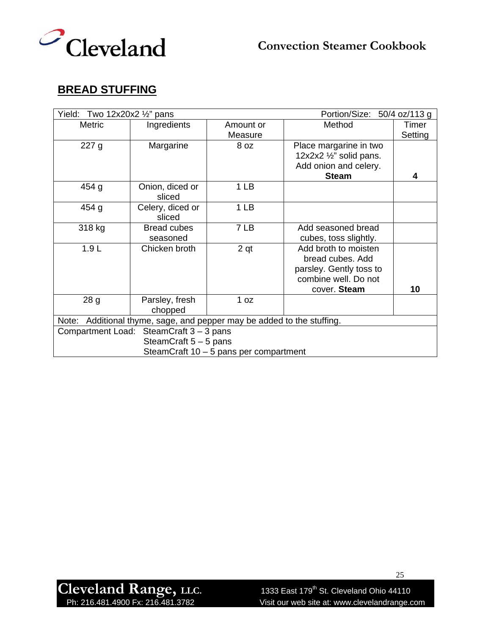

## **BREAD STUFFING**

| Yield: Two 12x20x2 $\frac{1}{2}$ " pans                                   |                                        | Portion/Size: 50/4 oz/113 g |                                                                                                             |                  |  |
|---------------------------------------------------------------------------|----------------------------------------|-----------------------------|-------------------------------------------------------------------------------------------------------------|------------------|--|
| <b>Metric</b>                                                             | Ingredients                            | Amount or<br>Measure        | Method                                                                                                      | Timer<br>Setting |  |
| 227 g                                                                     | Margarine                              | 8 oz                        | Place margarine in two<br>12x2x2 $\frac{1}{2}$ " solid pans.<br>Add onion and celery.<br><b>Steam</b>       | 4                |  |
| 454 g                                                                     | Onion, diced or<br>sliced              | 1 LB                        |                                                                                                             |                  |  |
| 454 g                                                                     | Celery, diced or<br>sliced             | 1 <sub>LB</sub>             |                                                                                                             |                  |  |
| 318 kg                                                                    | <b>Bread cubes</b><br>seasoned         | 7 LB                        | Add seasoned bread<br>cubes, toss slightly.                                                                 |                  |  |
| 1.9L                                                                      | Chicken broth                          | 2 <sub>qt</sub>             | Add broth to moisten<br>bread cubes. Add<br>parsley. Gently toss to<br>combine well. Do not<br>cover. Steam | 10               |  |
| 28 <sub>g</sub>                                                           | Parsley, fresh<br>chopped              | 1 oz                        |                                                                                                             |                  |  |
| Additional thyme, sage, and pepper may be added to the stuffing.<br>Note: |                                        |                             |                                                                                                             |                  |  |
| SteamCraft $3 - 3$ pans<br><b>Compartment Load:</b>                       |                                        |                             |                                                                                                             |                  |  |
|                                                                           | SteamCraft 5 - 5 pans                  |                             |                                                                                                             |                  |  |
|                                                                           | SteamCraft 10 – 5 pans per compartment |                             |                                                                                                             |                  |  |